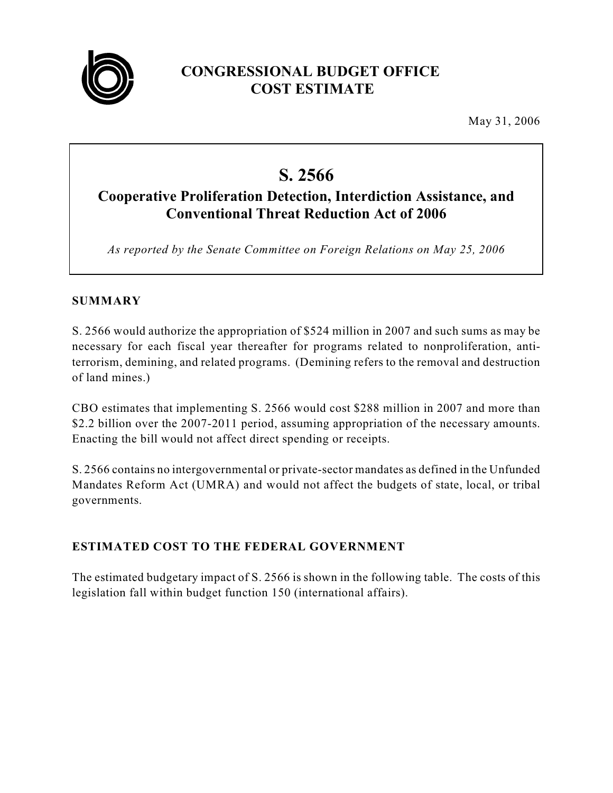

## **CONGRESSIONAL BUDGET OFFICE COST ESTIMATE**

May 31, 2006

# **S. 2566**

## **Cooperative Proliferation Detection, Interdiction Assistance, and Conventional Threat Reduction Act of 2006**

*As reported by the Senate Committee on Foreign Relations on May 25, 2006*

#### **SUMMARY**

S. 2566 would authorize the appropriation of \$524 million in 2007 and such sums as may be necessary for each fiscal year thereafter for programs related to nonproliferation, antiterrorism, demining, and related programs. (Demining refers to the removal and destruction of land mines.)

CBO estimates that implementing S. 2566 would cost \$288 million in 2007 and more than \$2.2 billion over the 2007-2011 period, assuming appropriation of the necessary amounts. Enacting the bill would not affect direct spending or receipts.

S. 2566 contains no intergovernmental or private-sector mandates as defined in the Unfunded Mandates Reform Act (UMRA) and would not affect the budgets of state, local, or tribal governments.

### **ESTIMATED COST TO THE FEDERAL GOVERNMENT**

The estimated budgetary impact of S. 2566 is shown in the following table. The costs of this legislation fall within budget function 150 (international affairs).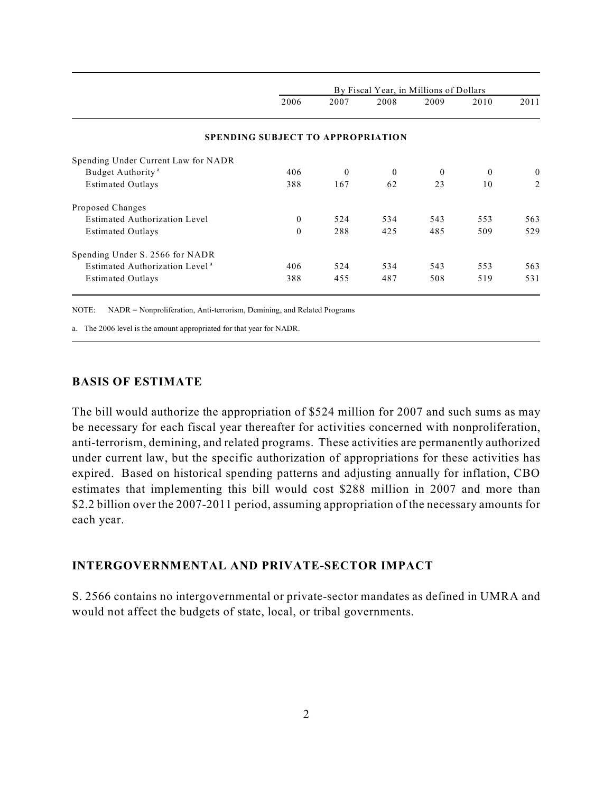| By Fiscal Year, in Millions of Dollars |          |          |                                          |          |              |
|----------------------------------------|----------|----------|------------------------------------------|----------|--------------|
| 2006                                   | 2007     | 2008     | 2009                                     | 2010     | 2011         |
|                                        |          |          |                                          |          |              |
|                                        |          |          |                                          |          |              |
| 406                                    | $\theta$ | $\theta$ | $\theta$                                 | $\theta$ | $\mathbf{0}$ |
| 388                                    | 167      | 62       | 23                                       | 10       | 2            |
|                                        |          |          |                                          |          |              |
| $\theta$                               | 524      | 534      | 543                                      | 553      | 563          |
| $\theta$                               | 288      | 425      | 485                                      | 509      | 529          |
|                                        |          |          |                                          |          |              |
| 406                                    | 524      | 534      | 543                                      | 553      | 563          |
| 388                                    | 455      | 487      | 508                                      | 519      | 531          |
|                                        |          |          | <b>SPENDING SUBJECT TO APPROPRIATION</b> |          |              |

NOTE: NADR = Nonproliferation, Anti-terrorism, Demining, and Related Programs

a. The 2006 level is the amount appropriated for that year for NADR.

#### **BASIS OF ESTIMATE**

The bill would authorize the appropriation of \$524 million for 2007 and such sums as may be necessary for each fiscal year thereafter for activities concerned with nonproliferation, anti-terrorism, demining, and related programs. These activities are permanently authorized under current law, but the specific authorization of appropriations for these activities has expired. Based on historical spending patterns and adjusting annually for inflation, CBO estimates that implementing this bill would cost \$288 million in 2007 and more than \$2.2 billion over the 2007-2011 period, assuming appropriation of the necessary amounts for each year.

#### **INTERGOVERNMENTAL AND PRIVATE-SECTOR IMPACT**

S. 2566 contains no intergovernmental or private-sector mandates as defined in UMRA and would not affect the budgets of state, local, or tribal governments.